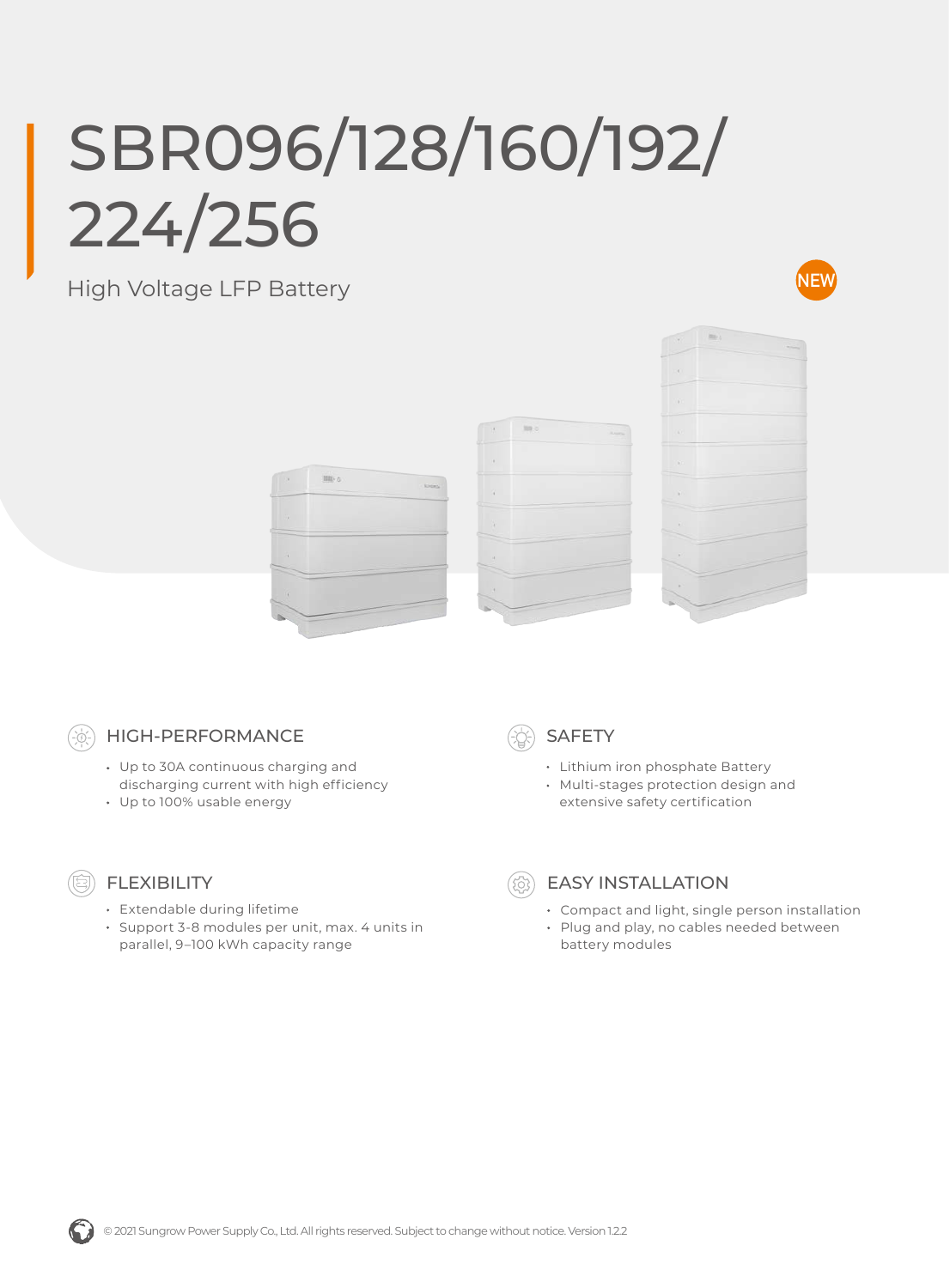## SBR096/128/160/192/ 224/256

## High Voltage LFP Battery











## HIGH-PERFORMANCE

- Up to 30A continuous charging and discharging current with high efficiency
- Up to 100% usable energy



- Extendable during lifetime
- Support 3-8 modules per unit, max. 4 units in parallel, 9–100 kWh capacity range



- Lithium iron phosphate Battery
- Multi-stages protection design and extensive safety certification



## EASY INSTALLATION

- Compact and light, single person installation
- Plug and play, no cables needed between battery modules